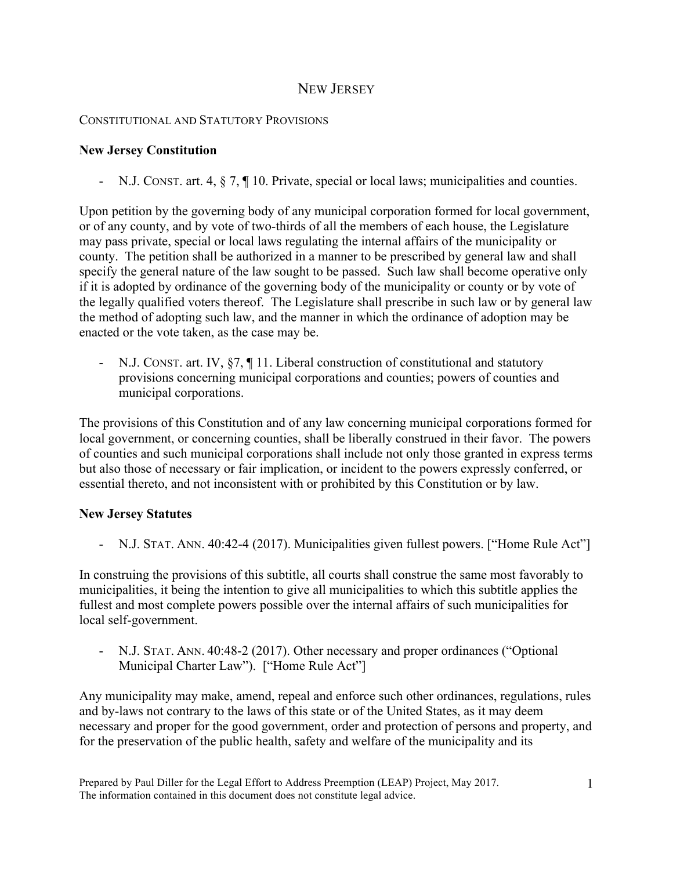# NEW JERSEY

### CONSTITUTIONAL AND STATUTORY PROVISIONS

## **New Jersey Constitution**

- N.J. CONST. art. 4, § 7, ¶ 10. Private, special or local laws; municipalities and counties.

Upon petition by the governing body of any municipal corporation formed for local government, or of any county, and by vote of two-thirds of all the members of each house, the Legislature may pass private, special or local laws regulating the internal affairs of the municipality or county. The petition shall be authorized in a manner to be prescribed by general law and shall specify the general nature of the law sought to be passed. Such law shall become operative only if it is adopted by ordinance of the governing body of the municipality or county or by vote of the legally qualified voters thereof. The Legislature shall prescribe in such law or by general law the method of adopting such law, and the manner in which the ordinance of adoption may be enacted or the vote taken, as the case may be.

- N.J. CONST. art. IV, §7, ¶ 11. Liberal construction of constitutional and statutory provisions concerning municipal corporations and counties; powers of counties and municipal corporations.

The provisions of this Constitution and of any law concerning municipal corporations formed for local government, or concerning counties, shall be liberally construed in their favor. The powers of counties and such municipal corporations shall include not only those granted in express terms but also those of necessary or fair implication, or incident to the powers expressly conferred, or essential thereto, and not inconsistent with or prohibited by this Constitution or by law.

# **New Jersey Statutes**

- N.J. STAT. ANN. 40:42-4 (2017). Municipalities given fullest powers. ["Home Rule Act"]

In construing the provisions of this subtitle, all courts shall construe the same most favorably to municipalities, it being the intention to give all municipalities to which this subtitle applies the fullest and most complete powers possible over the internal affairs of such municipalities for local self-government.

- N.J. STAT. ANN. 40:48-2 (2017). Other necessary and proper ordinances ("Optional Municipal Charter Law"). ["Home Rule Act"]

Any municipality may make, amend, repeal and enforce such other ordinances, regulations, rules and by-laws not contrary to the laws of this state or of the United States, as it may deem necessary and proper for the good government, order and protection of persons and property, and for the preservation of the public health, safety and welfare of the municipality and its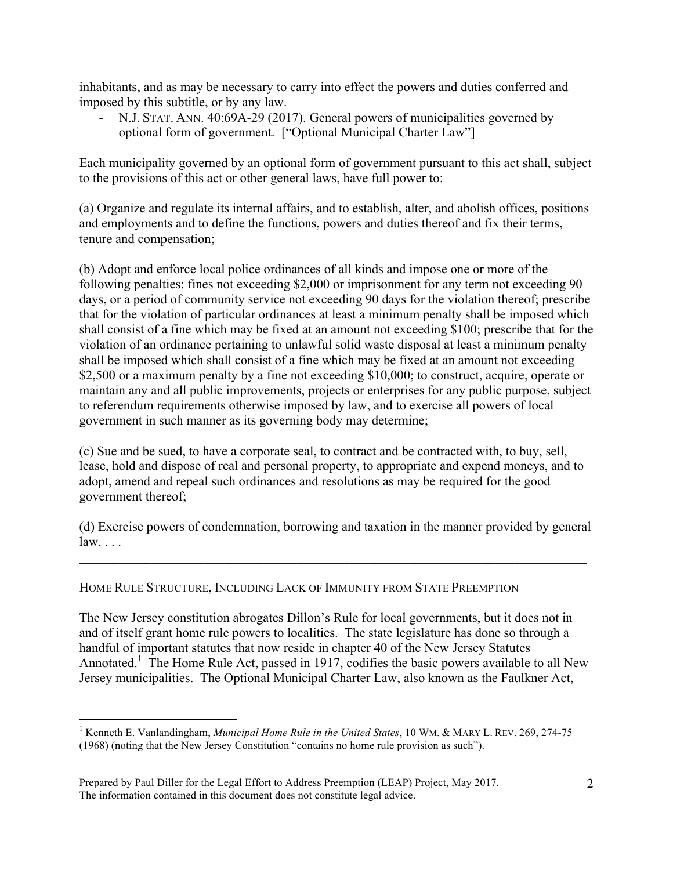inhabitants, and as may be necessary to carry into effect the powers and duties conferred and imposed by this subtitle, or by any law.

- N.J. STAT. ANN. 40:69A-29 (2017). General powers of municipalities governed by optional form of government. ["Optional Municipal Charter Law"]

Each municipality governed by an optional form of government pursuant to this act shall, subject to the provisions of this act or other general laws, have full power to:

(a) Organize and regulate its internal affairs, and to establish, alter, and abolish offices, positions and employments and to define the functions, powers and duties thereof and fix their terms, tenure and compensation;

(b) Adopt and enforce local police ordinances of all kinds and impose one or more of the following penalties: fines not exceeding \$2,000 or imprisonment for any term not exceeding 90 days, or a period of community service not exceeding 90 days for the violation thereof; prescribe that for the violation of particular ordinances at least a minimum penalty shall be imposed which shall consist of a fine which may be fixed at an amount not exceeding \$100; prescribe that for the violation of an ordinance pertaining to unlawful solid waste disposal at least a minimum penalty shall be imposed which shall consist of a fine which may be fixed at an amount not exceeding \$2,500 or a maximum penalty by a fine not exceeding \$10,000; to construct, acquire, operate or maintain any and all public improvements, projects or enterprises for any public purpose, subject to referendum requirements otherwise imposed by law, and to exercise all powers of local government in such manner as its governing body may determine;

(c) Sue and be sued, to have a corporate seal, to contract and be contracted with, to buy, sell, lease, hold and dispose of real and personal property, to appropriate and expend moneys, and to adopt, amend and repeal such ordinances and resolutions as may be required for the good government thereof;

(d) Exercise powers of condemnation, borrowing and taxation in the manner provided by general law. . . .

 $\mathcal{L}_\mathcal{L} = \{ \mathcal{L}_\mathcal{L} = \{ \mathcal{L}_\mathcal{L} = \{ \mathcal{L}_\mathcal{L} = \{ \mathcal{L}_\mathcal{L} = \{ \mathcal{L}_\mathcal{L} = \{ \mathcal{L}_\mathcal{L} = \{ \mathcal{L}_\mathcal{L} = \{ \mathcal{L}_\mathcal{L} = \{ \mathcal{L}_\mathcal{L} = \{ \mathcal{L}_\mathcal{L} = \{ \mathcal{L}_\mathcal{L} = \{ \mathcal{L}_\mathcal{L} = \{ \mathcal{L}_\mathcal{L} = \{ \mathcal{L}_\mathcal{$ 

#### HOME RULE STRUCTURE, INCLUDING LACK OF IMMUNITY FROM STATE PREEMPTION

The New Jersey constitution abrogates Dillon's Rule for local governments, but it does not in and of itself grant home rule powers to localities. The state legislature has done so through a handful of important statutes that now reside in chapter 40 of the New Jersey Statutes Annotated.<sup>1</sup> The Home Rule Act, passed in 1917, codifies the basic powers available to all New Jersey municipalities. The Optional Municipal Charter Law, also known as the Faulkner Act,

 $\frac{1}{1}$ <sup>1</sup> Kenneth E. Vanlandingham, *Municipal Home Rule in the United States*, 10 WM. & MARY L. REV. 269, 274-75 (1968) (noting that the New Jersey Constitution "contains no home rule provision as such").

Prepared by Paul Diller for the Legal Effort to Address Preemption (LEAP) Project, May 2017. The information contained in this document does not constitute legal advice.